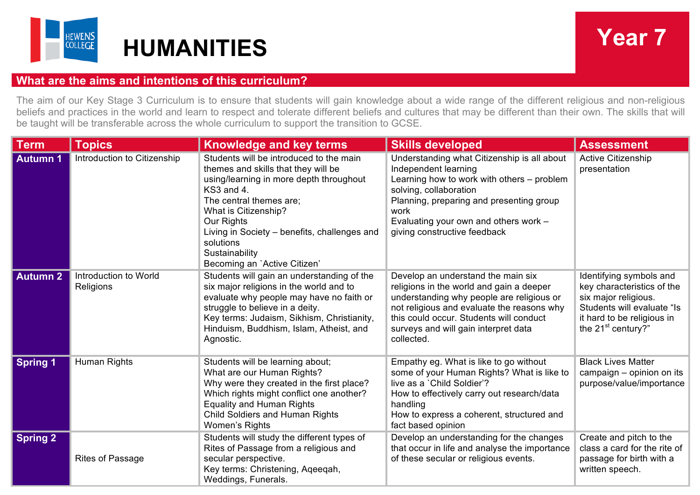

## **What are the aims and intentions of this curriculum?**

The aim of our Key Stage 3 Curriculum is to ensure that students will gain knowledge about a wide range of the different religious and non-religious beliefs and practices in the world and learn to respect and tolerate different beliefs and cultures that may be different than their own. The skills that will be taught will be transferable across the whole curriculum to support the transition to GCSE.

| <b>Term</b>     | <b>Topics</b>                      | <b>Knowledge and key terms</b>                                                                                                                                                                                                                                                                                          | <b>Skills developed</b>                                                                                                                                                                                                                                                    | <b>Assessment</b>                                                                                                                                                 |
|-----------------|------------------------------------|-------------------------------------------------------------------------------------------------------------------------------------------------------------------------------------------------------------------------------------------------------------------------------------------------------------------------|----------------------------------------------------------------------------------------------------------------------------------------------------------------------------------------------------------------------------------------------------------------------------|-------------------------------------------------------------------------------------------------------------------------------------------------------------------|
| <b>Autumn 1</b> | Introduction to Citizenship        | Students will be introduced to the main<br>themes and skills that they will be<br>using/learning in more depth throughout<br>KS3 and 4.<br>The central themes are:<br>What is Citizenship?<br>Our Rights<br>Living in Society - benefits, challenges and<br>solutions<br>Sustainability<br>Becoming an `Active Citizen' | Understanding what Citizenship is all about<br>Independent learning<br>Learning how to work with others – problem<br>solving, collaboration<br>Planning, preparing and presenting group<br>work<br>Evaluating your own and others work -<br>giving constructive feedback   | <b>Active Citizenship</b><br>presentation                                                                                                                         |
| <b>Autumn 2</b> | Introduction to World<br>Religions | Students will gain an understanding of the<br>six major religions in the world and to<br>evaluate why people may have no faith or<br>struggle to believe in a deity.<br>Key terms: Judaism, Sikhism, Christianity,<br>Hinduism, Buddhism, Islam, Atheist, and<br>Agnostic.                                              | Develop an understand the main six<br>religions in the world and gain a deeper<br>understanding why people are religious or<br>not religious and evaluate the reasons why<br>this could occur. Students will conduct<br>surveys and will gain interpret data<br>collected. | Identifying symbols and<br>key characteristics of the<br>six major religious.<br>Students will evaluate "Is<br>it hard to be religious in<br>the $21st$ century?" |
| <b>Spring 1</b> | Human Rights                       | Students will be learning about;<br>What are our Human Rights?<br>Why were they created in the first place?<br>Which rights might conflict one another?<br><b>Equality and Human Rights</b><br><b>Child Soldiers and Human Rights</b><br>Women's Rights                                                                 | Empathy eg. What is like to go without<br>some of your Human Rights? What is like to<br>live as a 'Child Soldier'?<br>How to effectively carry out research/data<br>handling<br>How to express a coherent, structured and<br>fact based opinion                            | <b>Black Lives Matter</b><br>campaign - opinion on its<br>purpose/value/importance                                                                                |
| <b>Spring 2</b> | <b>Rites of Passage</b>            | Students will study the different types of<br>Rites of Passage from a religious and<br>secular perspective.<br>Key terms: Christening, Ageegah,<br>Weddings, Funerals.                                                                                                                                                  | Develop an understanding for the changes<br>that occur in life and analyse the importance<br>of these secular or religious events.                                                                                                                                         | Create and pitch to the<br>class a card for the rite of<br>passage for birth with a<br>written speech.                                                            |